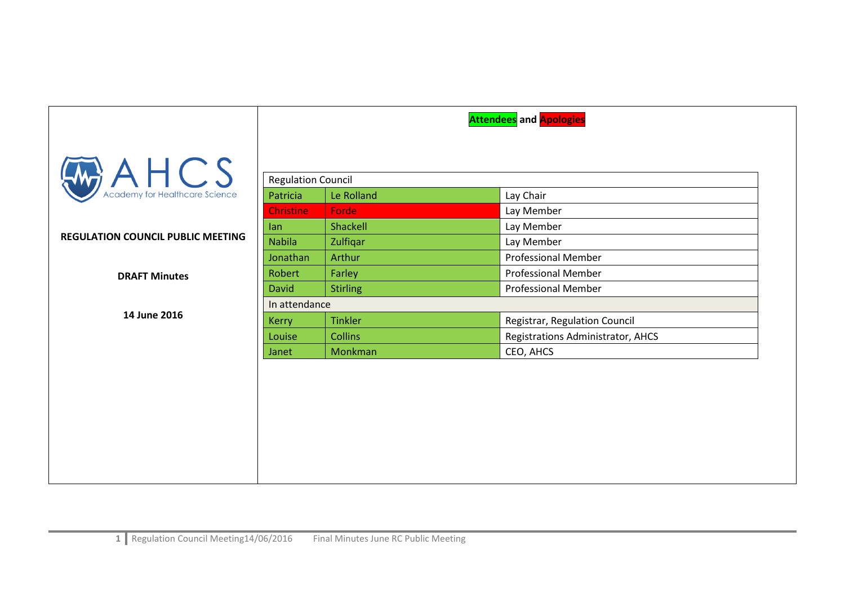|                                          |                           |                 | <b>Attendees</b> and <b>Apologies</b> |
|------------------------------------------|---------------------------|-----------------|---------------------------------------|
| $\mathcal{A} \mathsf{HCS}$               |                           |                 |                                       |
|                                          | <b>Regulation Council</b> |                 |                                       |
|                                          | Patricia                  | Le Rolland      | Lay Chair                             |
|                                          | <b>Christine</b>          | Forde           | Lay Member                            |
|                                          | lan                       | Shackell        | Lay Member                            |
| <b>REGULATION COUNCIL PUBLIC MEETING</b> | <b>Nabila</b>             | Zulfiqar        | Lay Member                            |
|                                          | Jonathan                  | Arthur          | <b>Professional Member</b>            |
| <b>DRAFT Minutes</b>                     | Robert                    | Farley          | <b>Professional Member</b>            |
|                                          | <b>David</b>              | <b>Stirling</b> | <b>Professional Member</b>            |
|                                          | In attendance             |                 |                                       |
| 14 June 2016                             | <b>Kerry</b>              | <b>Tinkler</b>  | Registrar, Regulation Council         |
|                                          | Louise                    | <b>Collins</b>  | Registrations Administrator, AHCS     |
|                                          | Janet                     | Monkman         | CEO, AHCS                             |
|                                          |                           |                 |                                       |
|                                          |                           |                 |                                       |
|                                          |                           |                 |                                       |
|                                          |                           |                 |                                       |
|                                          |                           |                 |                                       |
|                                          |                           |                 |                                       |
|                                          |                           |                 |                                       |
|                                          |                           |                 |                                       |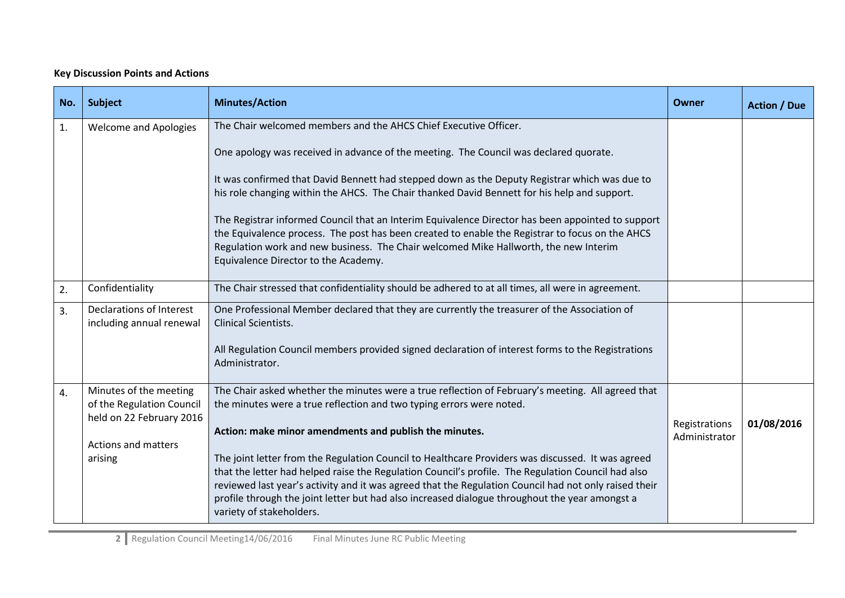## **Key Discussion Points and Actions**

| No.              | <b>Subject</b>                                                                  | <b>Minutes/Action</b>                                                                                                                                                                                                                                                                                                                                                                                                                          | Owner                          | <b>Action / Due</b> |
|------------------|---------------------------------------------------------------------------------|------------------------------------------------------------------------------------------------------------------------------------------------------------------------------------------------------------------------------------------------------------------------------------------------------------------------------------------------------------------------------------------------------------------------------------------------|--------------------------------|---------------------|
| 1.               | <b>Welcome and Apologies</b>                                                    | The Chair welcomed members and the AHCS Chief Executive Officer.<br>One apology was received in advance of the meeting. The Council was declared quorate.                                                                                                                                                                                                                                                                                      |                                |                     |
|                  |                                                                                 | It was confirmed that David Bennett had stepped down as the Deputy Registrar which was due to<br>his role changing within the AHCS. The Chair thanked David Bennett for his help and support.                                                                                                                                                                                                                                                  |                                |                     |
|                  |                                                                                 | The Registrar informed Council that an Interim Equivalence Director has been appointed to support<br>the Equivalence process. The post has been created to enable the Registrar to focus on the AHCS<br>Regulation work and new business. The Chair welcomed Mike Hallworth, the new Interim<br>Equivalence Director to the Academy.                                                                                                           |                                |                     |
| 2.               | Confidentiality                                                                 | The Chair stressed that confidentiality should be adhered to at all times, all were in agreement.                                                                                                                                                                                                                                                                                                                                              |                                |                     |
| 3.               | Declarations of Interest<br>including annual renewal                            | One Professional Member declared that they are currently the treasurer of the Association of<br><b>Clinical Scientists.</b>                                                                                                                                                                                                                                                                                                                    |                                |                     |
|                  |                                                                                 | All Regulation Council members provided signed declaration of interest forms to the Registrations<br>Administrator.                                                                                                                                                                                                                                                                                                                            |                                |                     |
| $\overline{4}$ . | Minutes of the meeting<br>of the Regulation Council<br>held on 22 February 2016 | The Chair asked whether the minutes were a true reflection of February's meeting. All agreed that<br>the minutes were a true reflection and two typing errors were noted.                                                                                                                                                                                                                                                                      |                                |                     |
|                  | Actions and matters                                                             | Action: make minor amendments and publish the minutes.                                                                                                                                                                                                                                                                                                                                                                                         | Registrations<br>Administrator | 01/08/2016          |
|                  | arising                                                                         | The joint letter from the Regulation Council to Healthcare Providers was discussed. It was agreed<br>that the letter had helped raise the Regulation Council's profile. The Regulation Council had also<br>reviewed last year's activity and it was agreed that the Regulation Council had not only raised their<br>profile through the joint letter but had also increased dialogue throughout the year amongst a<br>variety of stakeholders. |                                |                     |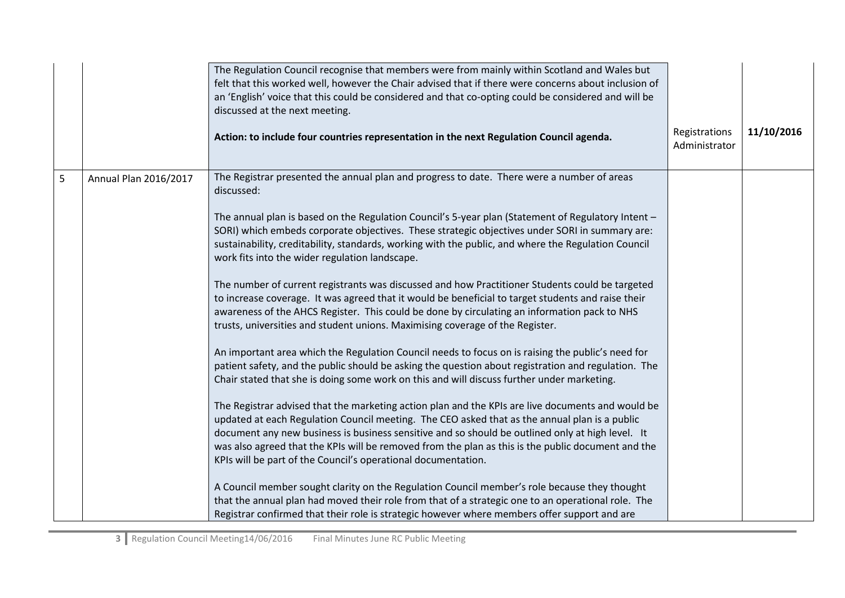|   |                       | The Regulation Council recognise that members were from mainly within Scotland and Wales but<br>felt that this worked well, however the Chair advised that if there were concerns about inclusion of<br>an 'English' voice that this could be considered and that co-opting could be considered and will be<br>discussed at the next meeting.<br>Action: to include four countries representation in the next Regulation Council agenda.                                                                                                                                                                                                                                                                                                                                                                                                                                                                                                                                                                                                                                                                                                                                                                                                                                                                                                                                                                                                                                                                                                                                                                                                                                                                                                                                                                                                                                                                                                                             | Registrations<br>Administrator | 11/10/2016 |
|---|-----------------------|----------------------------------------------------------------------------------------------------------------------------------------------------------------------------------------------------------------------------------------------------------------------------------------------------------------------------------------------------------------------------------------------------------------------------------------------------------------------------------------------------------------------------------------------------------------------------------------------------------------------------------------------------------------------------------------------------------------------------------------------------------------------------------------------------------------------------------------------------------------------------------------------------------------------------------------------------------------------------------------------------------------------------------------------------------------------------------------------------------------------------------------------------------------------------------------------------------------------------------------------------------------------------------------------------------------------------------------------------------------------------------------------------------------------------------------------------------------------------------------------------------------------------------------------------------------------------------------------------------------------------------------------------------------------------------------------------------------------------------------------------------------------------------------------------------------------------------------------------------------------------------------------------------------------------------------------------------------------|--------------------------------|------------|
| 5 | Annual Plan 2016/2017 | The Registrar presented the annual plan and progress to date. There were a number of areas<br>discussed:<br>The annual plan is based on the Regulation Council's 5-year plan (Statement of Regulatory Intent -<br>SORI) which embeds corporate objectives. These strategic objectives under SORI in summary are:<br>sustainability, creditability, standards, working with the public, and where the Regulation Council<br>work fits into the wider regulation landscape.<br>The number of current registrants was discussed and how Practitioner Students could be targeted<br>to increase coverage. It was agreed that it would be beneficial to target students and raise their<br>awareness of the AHCS Register. This could be done by circulating an information pack to NHS<br>trusts, universities and student unions. Maximising coverage of the Register.<br>An important area which the Regulation Council needs to focus on is raising the public's need for<br>patient safety, and the public should be asking the question about registration and regulation. The<br>Chair stated that she is doing some work on this and will discuss further under marketing.<br>The Registrar advised that the marketing action plan and the KPIs are live documents and would be<br>updated at each Regulation Council meeting. The CEO asked that as the annual plan is a public<br>document any new business is business sensitive and so should be outlined only at high level. It<br>was also agreed that the KPIs will be removed from the plan as this is the public document and the<br>KPIs will be part of the Council's operational documentation.<br>A Council member sought clarity on the Regulation Council member's role because they thought<br>that the annual plan had moved their role from that of a strategic one to an operational role. The<br>Registrar confirmed that their role is strategic however where members offer support and are |                                |            |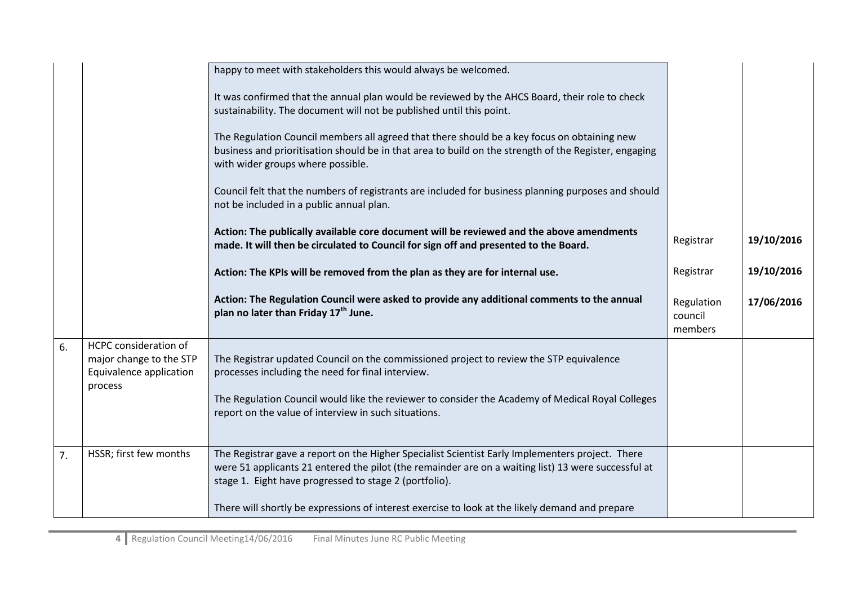|    |                                                                                        | happy to meet with stakeholders this would always be welcomed.<br>It was confirmed that the annual plan would be reviewed by the AHCS Board, their role to check<br>sustainability. The document will not be published until this point.<br>The Regulation Council members all agreed that there should be a key focus on obtaining new<br>business and prioritisation should be in that area to build on the strength of the Register, engaging<br>with wider groups where possible.<br>Council felt that the numbers of registrants are included for business planning purposes and should<br>not be included in a public annual plan. |                                  |            |
|----|----------------------------------------------------------------------------------------|------------------------------------------------------------------------------------------------------------------------------------------------------------------------------------------------------------------------------------------------------------------------------------------------------------------------------------------------------------------------------------------------------------------------------------------------------------------------------------------------------------------------------------------------------------------------------------------------------------------------------------------|----------------------------------|------------|
|    |                                                                                        | Action: The publically available core document will be reviewed and the above amendments<br>made. It will then be circulated to Council for sign off and presented to the Board.                                                                                                                                                                                                                                                                                                                                                                                                                                                         | Registrar                        | 19/10/2016 |
|    |                                                                                        | Action: The KPIs will be removed from the plan as they are for internal use.                                                                                                                                                                                                                                                                                                                                                                                                                                                                                                                                                             | Registrar                        | 19/10/2016 |
|    |                                                                                        | Action: The Regulation Council were asked to provide any additional comments to the annual<br>plan no later than Friday 17 <sup>th</sup> June.                                                                                                                                                                                                                                                                                                                                                                                                                                                                                           | Regulation<br>council<br>members | 17/06/2016 |
| 6. | HCPC consideration of<br>major change to the STP<br>Equivalence application<br>process | The Registrar updated Council on the commissioned project to review the STP equivalence<br>processes including the need for final interview.<br>The Regulation Council would like the reviewer to consider the Academy of Medical Royal Colleges<br>report on the value of interview in such situations.                                                                                                                                                                                                                                                                                                                                 |                                  |            |
| 7. | HSSR; first few months                                                                 | The Registrar gave a report on the Higher Specialist Scientist Early Implementers project. There<br>were 51 applicants 21 entered the pilot (the remainder are on a waiting list) 13 were successful at<br>stage 1. Eight have progressed to stage 2 (portfolio).<br>There will shortly be expressions of interest exercise to look at the likely demand and prepare                                                                                                                                                                                                                                                                     |                                  |            |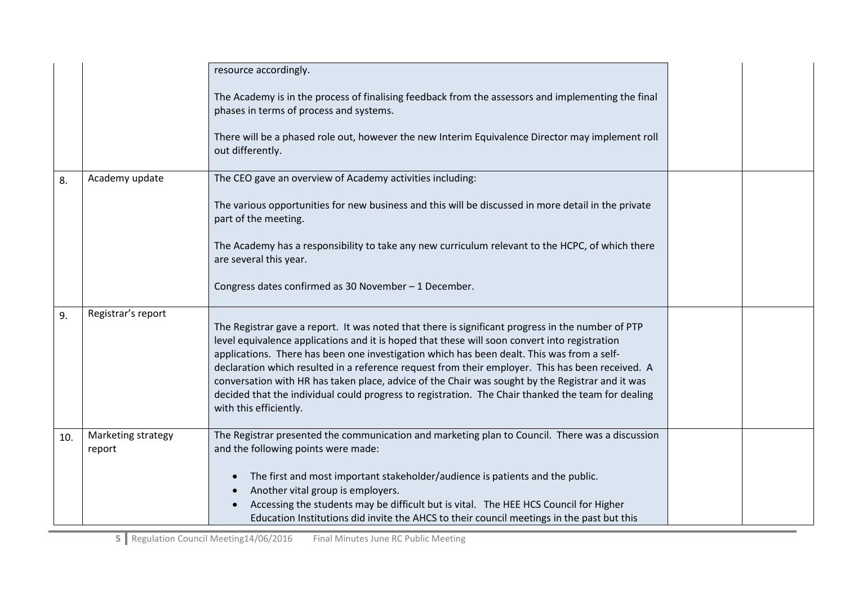|     |                              | resource accordingly.                                                                                                                                                                                                                                                                                                                                                                                                                                                                                                                                                                                                                    |  |
|-----|------------------------------|------------------------------------------------------------------------------------------------------------------------------------------------------------------------------------------------------------------------------------------------------------------------------------------------------------------------------------------------------------------------------------------------------------------------------------------------------------------------------------------------------------------------------------------------------------------------------------------------------------------------------------------|--|
|     |                              | The Academy is in the process of finalising feedback from the assessors and implementing the final<br>phases in terms of process and systems.                                                                                                                                                                                                                                                                                                                                                                                                                                                                                            |  |
|     |                              | There will be a phased role out, however the new Interim Equivalence Director may implement roll<br>out differently.                                                                                                                                                                                                                                                                                                                                                                                                                                                                                                                     |  |
| 8.  | Academy update               | The CEO gave an overview of Academy activities including:                                                                                                                                                                                                                                                                                                                                                                                                                                                                                                                                                                                |  |
|     |                              | The various opportunities for new business and this will be discussed in more detail in the private<br>part of the meeting.                                                                                                                                                                                                                                                                                                                                                                                                                                                                                                              |  |
|     |                              | The Academy has a responsibility to take any new curriculum relevant to the HCPC, of which there<br>are several this year.                                                                                                                                                                                                                                                                                                                                                                                                                                                                                                               |  |
|     |                              | Congress dates confirmed as 30 November - 1 December.                                                                                                                                                                                                                                                                                                                                                                                                                                                                                                                                                                                    |  |
| 9.  | Registrar's report           | The Registrar gave a report. It was noted that there is significant progress in the number of PTP<br>level equivalence applications and it is hoped that these will soon convert into registration<br>applications. There has been one investigation which has been dealt. This was from a self-<br>declaration which resulted in a reference request from their employer. This has been received. A<br>conversation with HR has taken place, advice of the Chair was sought by the Registrar and it was<br>decided that the individual could progress to registration. The Chair thanked the team for dealing<br>with this efficiently. |  |
| 10. | Marketing strategy<br>report | The Registrar presented the communication and marketing plan to Council. There was a discussion<br>and the following points were made:                                                                                                                                                                                                                                                                                                                                                                                                                                                                                                   |  |
|     |                              | The first and most important stakeholder/audience is patients and the public.<br>Another vital group is employers.<br>Accessing the students may be difficult but is vital. The HEE HCS Council for Higher                                                                                                                                                                                                                                                                                                                                                                                                                               |  |
|     |                              | Education Institutions did invite the AHCS to their council meetings in the past but this                                                                                                                                                                                                                                                                                                                                                                                                                                                                                                                                                |  |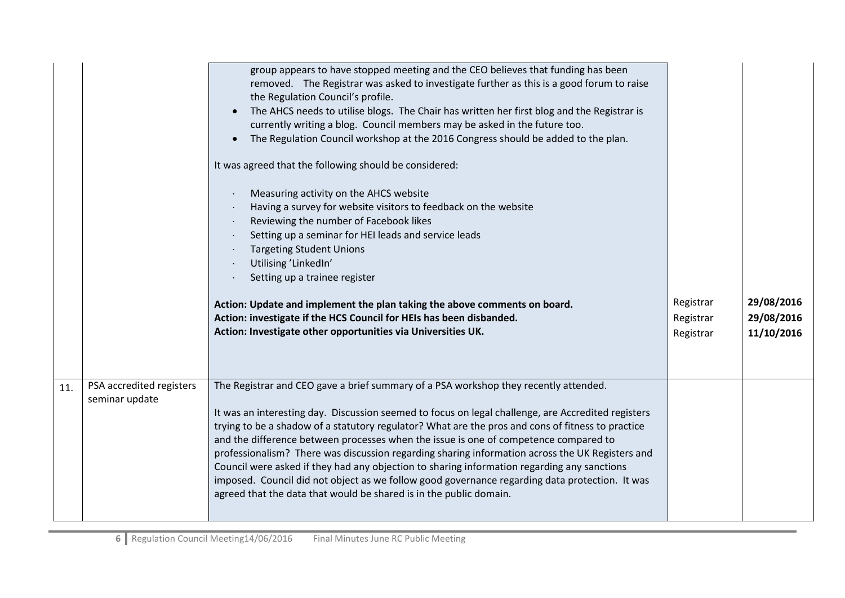|     |                                            | group appears to have stopped meeting and the CEO believes that funding has been<br>removed. The Registrar was asked to investigate further as this is a good forum to raise<br>the Regulation Council's profile.<br>The AHCS needs to utilise blogs. The Chair has written her first blog and the Registrar is<br>currently writing a blog. Council members may be asked in the future too.<br>The Regulation Council workshop at the 2016 Congress should be added to the plan.                                                                                                                                                                                                                                                                                 |                                     |                                        |
|-----|--------------------------------------------|-------------------------------------------------------------------------------------------------------------------------------------------------------------------------------------------------------------------------------------------------------------------------------------------------------------------------------------------------------------------------------------------------------------------------------------------------------------------------------------------------------------------------------------------------------------------------------------------------------------------------------------------------------------------------------------------------------------------------------------------------------------------|-------------------------------------|----------------------------------------|
|     |                                            | It was agreed that the following should be considered:                                                                                                                                                                                                                                                                                                                                                                                                                                                                                                                                                                                                                                                                                                            |                                     |                                        |
|     |                                            | Measuring activity on the AHCS website<br>Having a survey for website visitors to feedback on the website<br>Reviewing the number of Facebook likes<br>$\bullet$<br>Setting up a seminar for HEI leads and service leads<br><b>Targeting Student Unions</b><br>Utilising 'LinkedIn'<br>Setting up a trainee register<br>Action: Update and implement the plan taking the above comments on board.<br>Action: investigate if the HCS Council for HEIs has been disbanded.<br>Action: Investigate other opportunities via Universities UK.                                                                                                                                                                                                                          | Registrar<br>Registrar<br>Registrar | 29/08/2016<br>29/08/2016<br>11/10/2016 |
| 11. | PSA accredited registers<br>seminar update | The Registrar and CEO gave a brief summary of a PSA workshop they recently attended.<br>It was an interesting day. Discussion seemed to focus on legal challenge, are Accredited registers<br>trying to be a shadow of a statutory regulator? What are the pros and cons of fitness to practice<br>and the difference between processes when the issue is one of competence compared to<br>professionalism? There was discussion regarding sharing information across the UK Registers and<br>Council were asked if they had any objection to sharing information regarding any sanctions<br>imposed. Council did not object as we follow good governance regarding data protection. It was<br>agreed that the data that would be shared is in the public domain. |                                     |                                        |